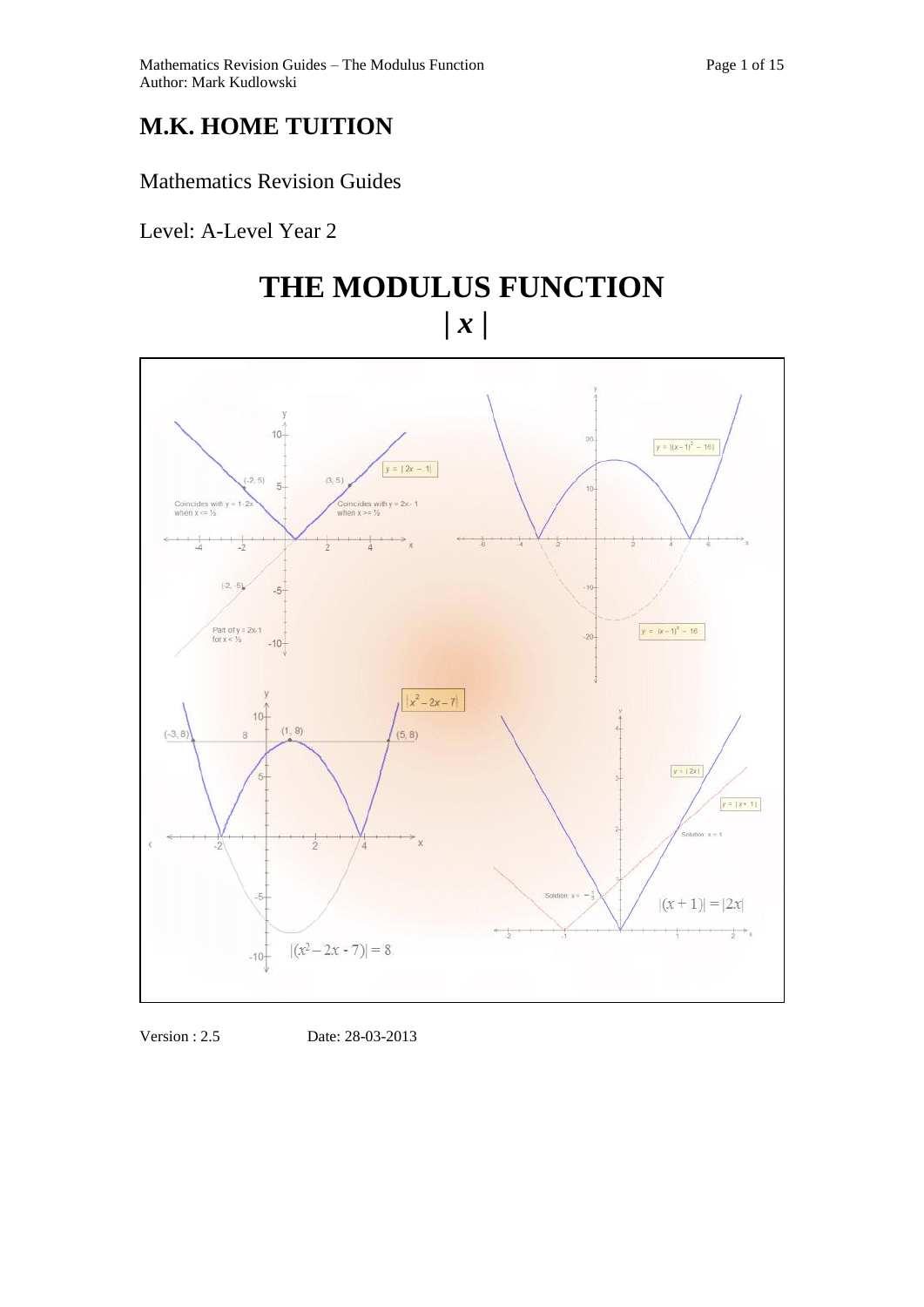# **M.K. HOME TUITION**

# Mathematics Revision Guides

Level: A-Level Year 2

# **THE MODULUS FUNCTION |** *x* **|**



Version : 2.5 Date: 28-03-2013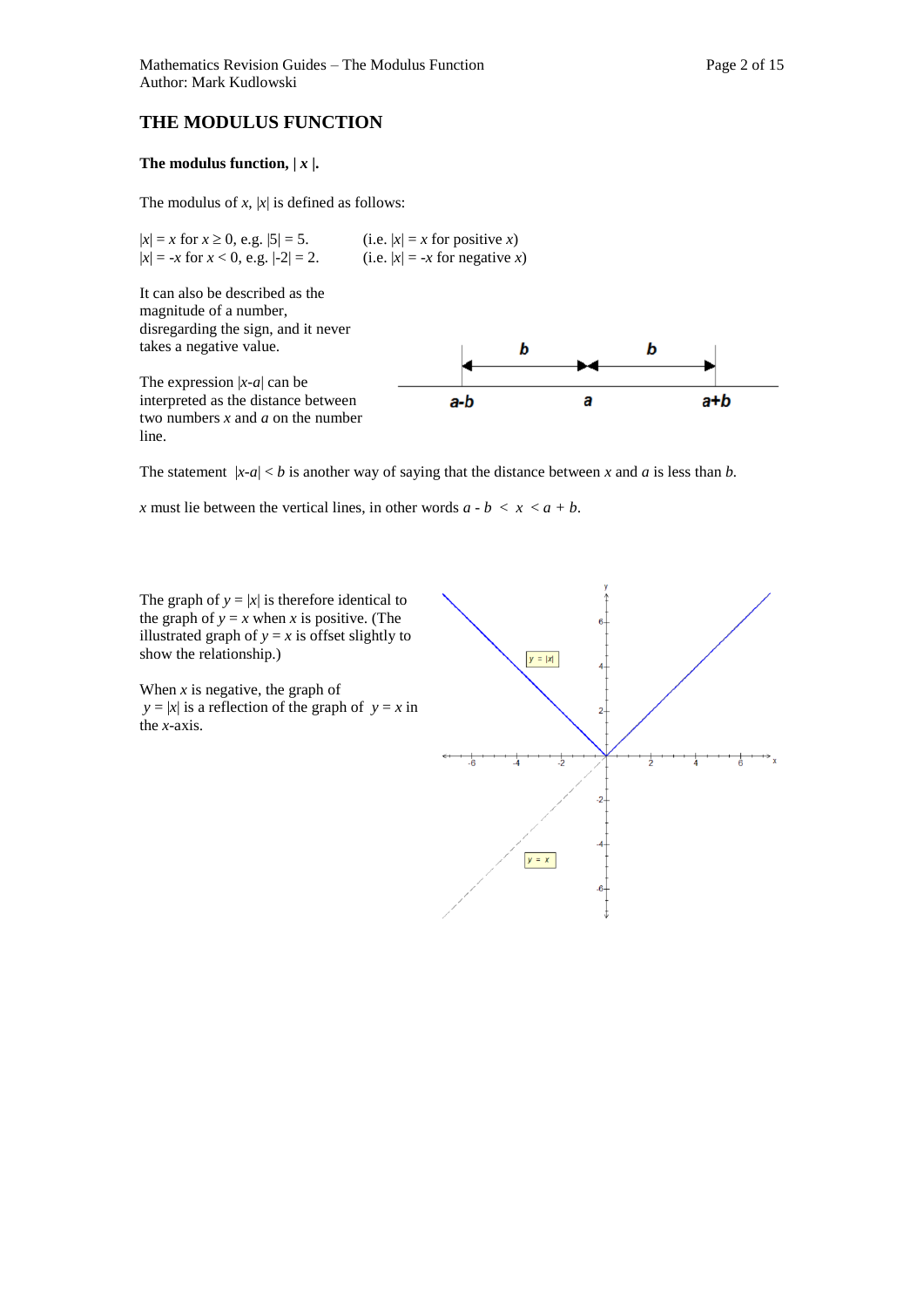# **THE MODULUS FUNCTION**

### The modulus function,  $|x|$ .

The modulus of  $x$ ,  $|x|$  is defined as follows:

 $|x| = x$  for  $x \ge 0$ , e.g.  $|5| = 5$ . (i.e.  $|x| = x$  for positive *x*)  $|x| = -x$  for  $x < 0$ , e.g.  $|-2| = 2$ . (i.e.  $|x| = -x$  for negative *x*)

It can also be described as the magnitude of a number, disregarding the sign, and it never takes a negative value.

The expression  $|x-a|$  can be interpreted as the distance between two numbers *x* and *a* on the number line.



The statement  $|x-a| < b$  is another way of saying that the distance between x and a is less than *b*.

*x* must lie between the vertical lines, in other words  $a - b < x < a + b$ .

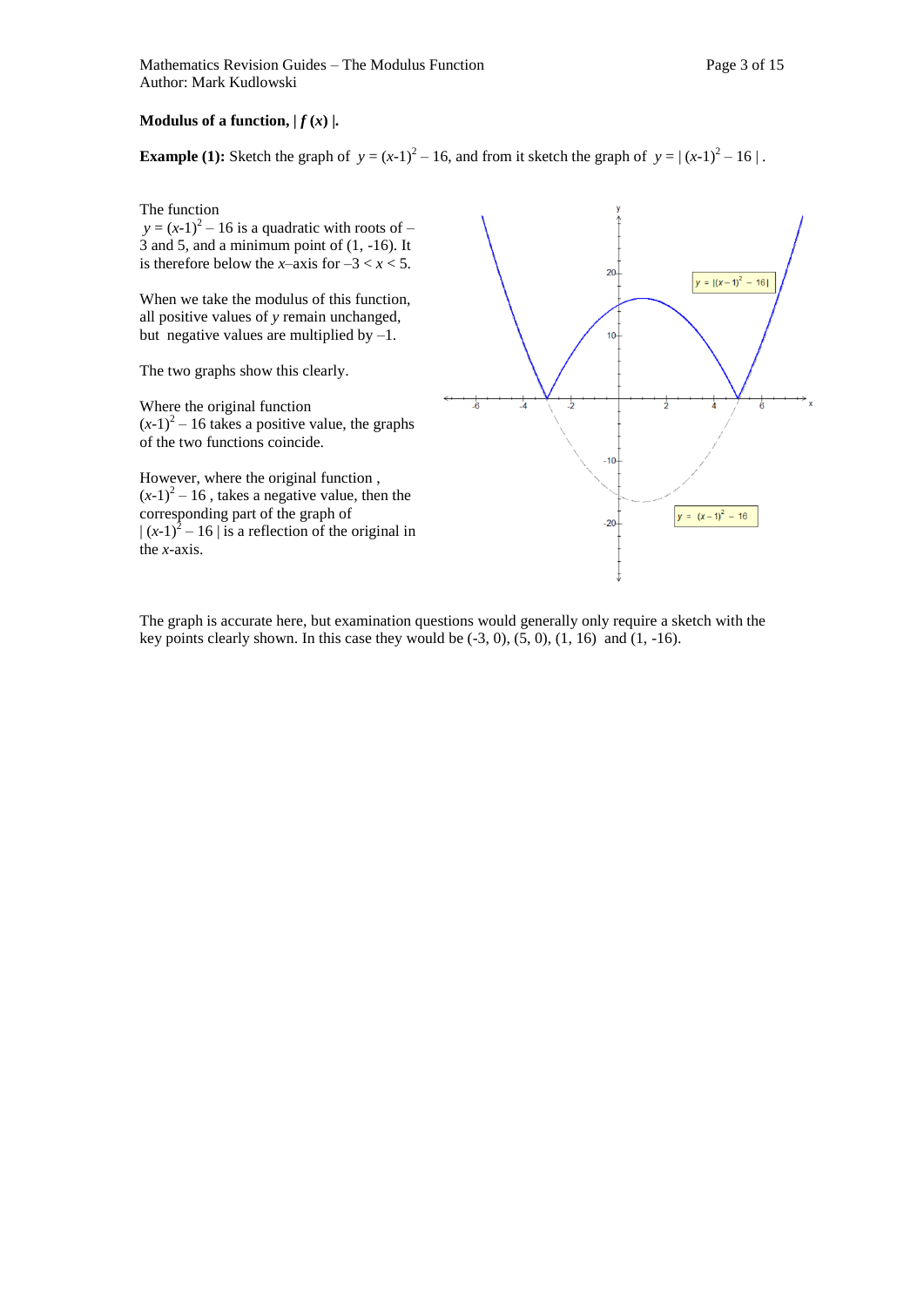## **Modulus of a function,**  $| f(x) |$ **.**

**Example (1):** Sketch the graph of  $y = (x-1)^2 - 16$ , and from it sketch the graph of  $y = (x-1)^2 - 16$ .

The function

 $y = (x-1)^2 - 16$  is a quadratic with roots of – 3 and 5, and a minimum point of (1, -16). It is therefore below the *x*–axis for  $-3 < x < 5$ .

When we take the modulus of this function, all positive values of *y* remain unchanged, but negative values are multiplied by  $-1$ .

The two graphs show this clearly.

Where the original function  $(x-1)^2$  – 16 takes a positive value, the graphs of the two functions coincide.

However, where the original function ,  $(x-1)^2 - 16$ , takes a negative value, then the corresponding part of the graph of  $|(x-1)^2 - 16|$  is a reflection of the original in the *x-*axis.



The graph is accurate here, but examination questions would generally only require a sketch with the key points clearly shown. In this case they would be  $(-3, 0)$ ,  $(5, 0)$ ,  $(1, 16)$  and  $(1, -16)$ .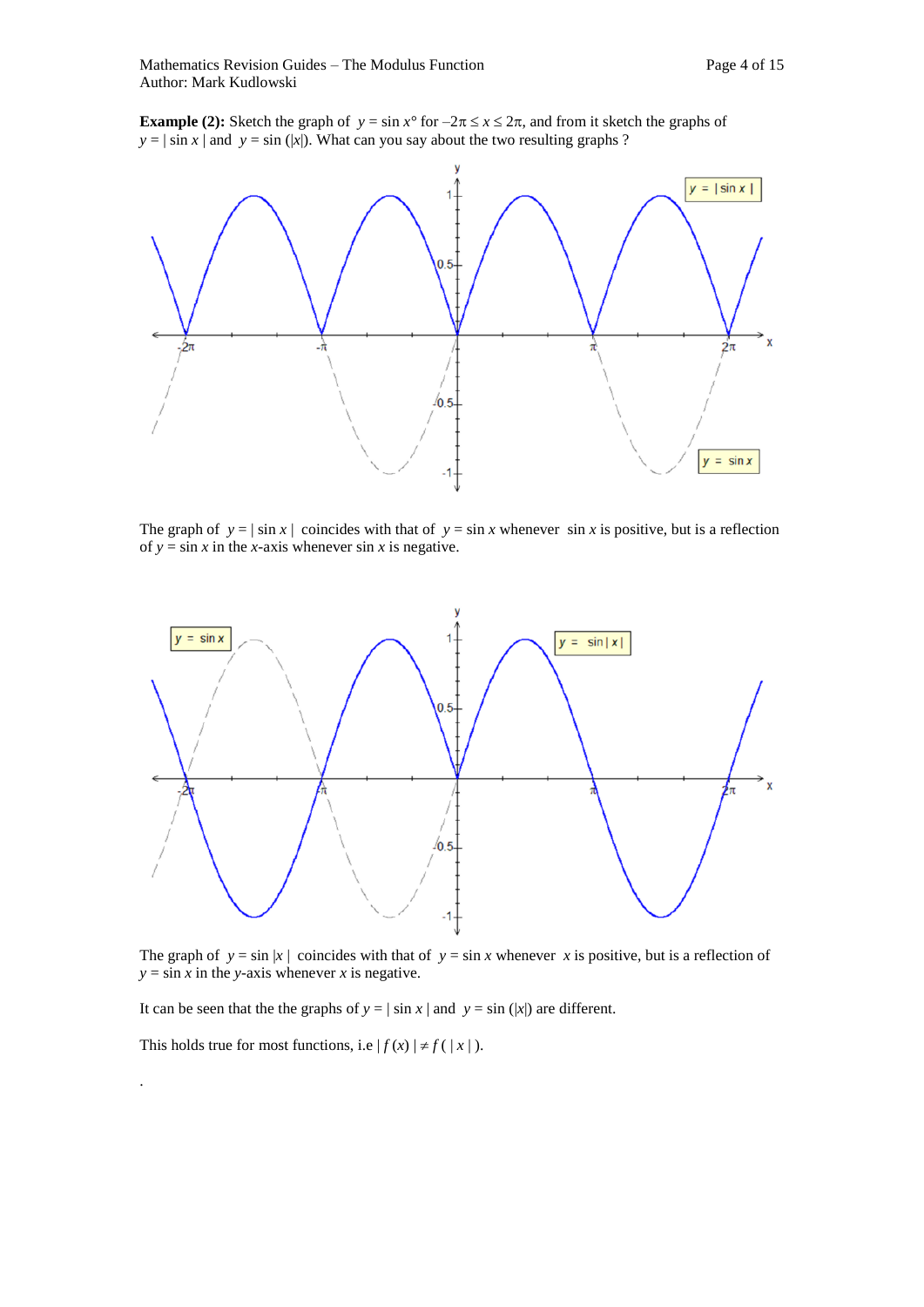**Example (2):** Sketch the graph of  $y = \sin x^{\circ}$  for  $-2\pi \le x \le 2\pi$ , and from it sketch the graphs of  $y = |\sin x|$  and  $y = \sin (|x|)$ . What can you say about the two resulting graphs ?



The graph of  $y = |\sin x|$  coincides with that of  $y = \sin x$  whenever  $\sin x$  is positive, but is a reflection of  $y = \sin x$  in the *x*-axis whenever  $\sin x$  is negative.



The graph of  $y = \sin |x|$  coincides with that of  $y = \sin x$  whenever x is positive, but is a reflection of  $y = \sin x$  in the *y*-axis whenever *x* is negative.

It can be seen that the the graphs of  $y = |\sin x|$  and  $y = \sin (|x|)$  are different.

This holds true for most functions, i.e  $|f(x)| \neq f(|x|)$ .

.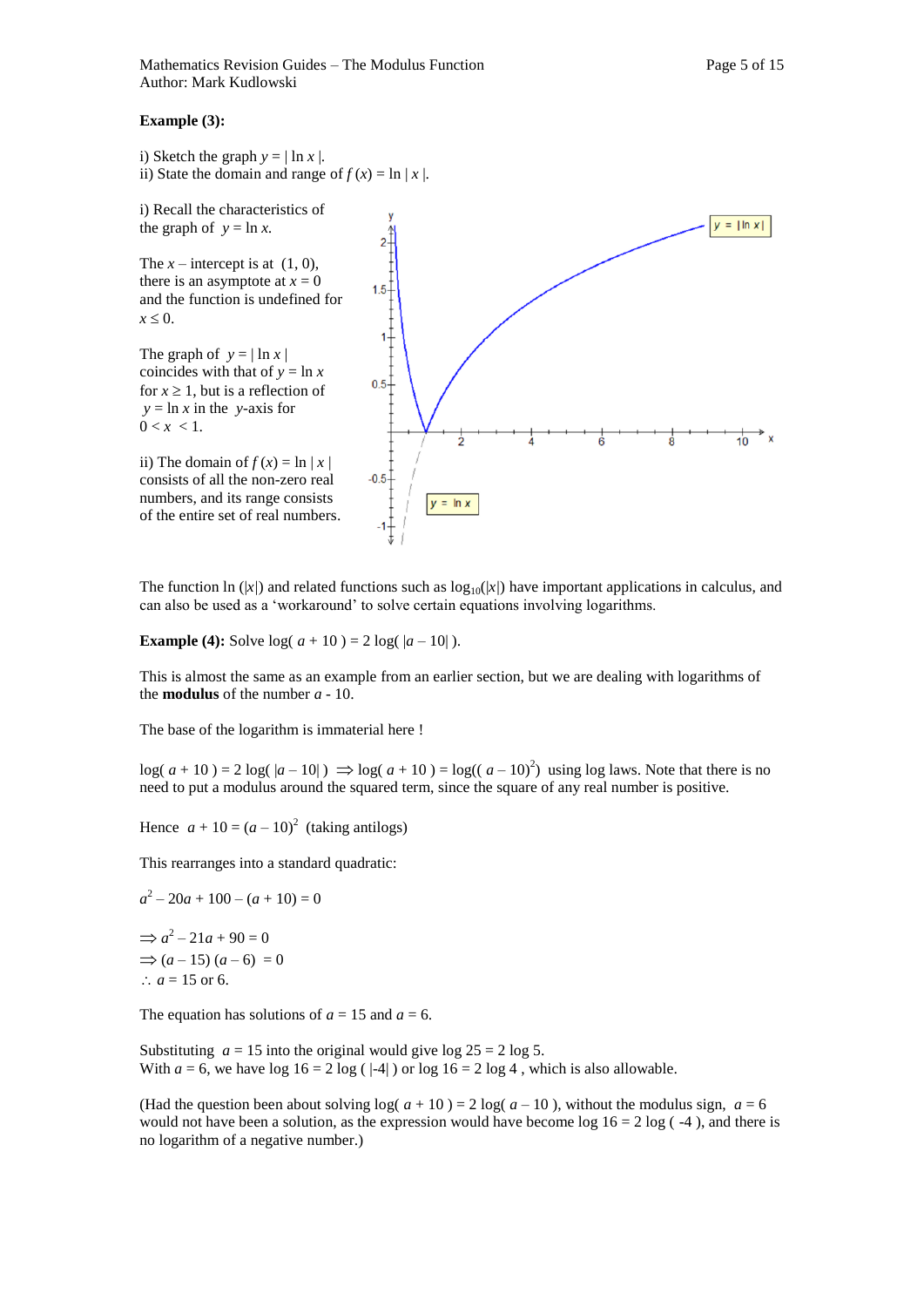#### **Example (3):**

i) Sketch the graph  $y = |\ln x|$ . ii) State the domain and range of  $f(x) = \ln |x|$ .

i) Recall the characteristics of the graph of  $y = \ln x$ .

The  $x$  – intercept is at  $(1, 0)$ , there is an asymptote at  $x = 0$ and the function is undefined for  $x \leq 0$ .

The graph of  $y = |\ln x|$ coincides with that of  $y = \ln x$ for  $x \geq 1$ , but is a reflection of  $y = \ln x$  in the *y*-axis for  $0 < x < 1$ .

ii) The domain of  $f(x) = \ln |x|$ consists of all the non-zero real numbers, and its range consists of the entire set of real numbers.



The function ln  $(|x|)$  and related functions such as  $\log_{10}(|x|)$  have important applications in calculus, and can also be used as a 'workaround' to solve certain equations involving logarithms.

**Example (4):** Solve  $log(a + 10) = 2 log(|a - 10|)$ .

This is almost the same as an example from an earlier section, but we are dealing with logarithms of the **modulus** of the number *a* - 10.

The base of the logarithm is immaterial here !

 $log(a + 10) = 2 log(|a - 10|) \Rightarrow log(a + 10) = log((a - 10)^2)$  using log laws. Note that there is no need to put a modulus around the squared term, since the square of any real number is positive.

Hence  $a + 10 = (a - 10)^2$  (taking antilogs)

This rearranges into a standard quadratic:

 $a^2 - 20a + 100 - (a + 10) = 0$  $\Rightarrow$   $a^2 - 21a + 90 = 0$  $\Rightarrow$   $(a-15)$   $(a-6) = 0$ ∴  $a = 15$  or 6.

The equation has solutions of  $a = 15$  and  $a = 6$ .

Substituting  $a = 15$  into the original would give log  $25 = 2 \log 5$ . With  $a = 6$ , we have  $\log 16 = 2 \log (1-4)$  or  $\log 16 = 2 \log 4$ , which is also allowable.

(Had the question been about solving  $log(a + 10) = 2 log(a - 10)$ , without the modulus sign,  $a = 6$ would not have been a solution, as the expression would have become log  $16 = 2 \log(-4)$ , and there is no logarithm of a negative number.)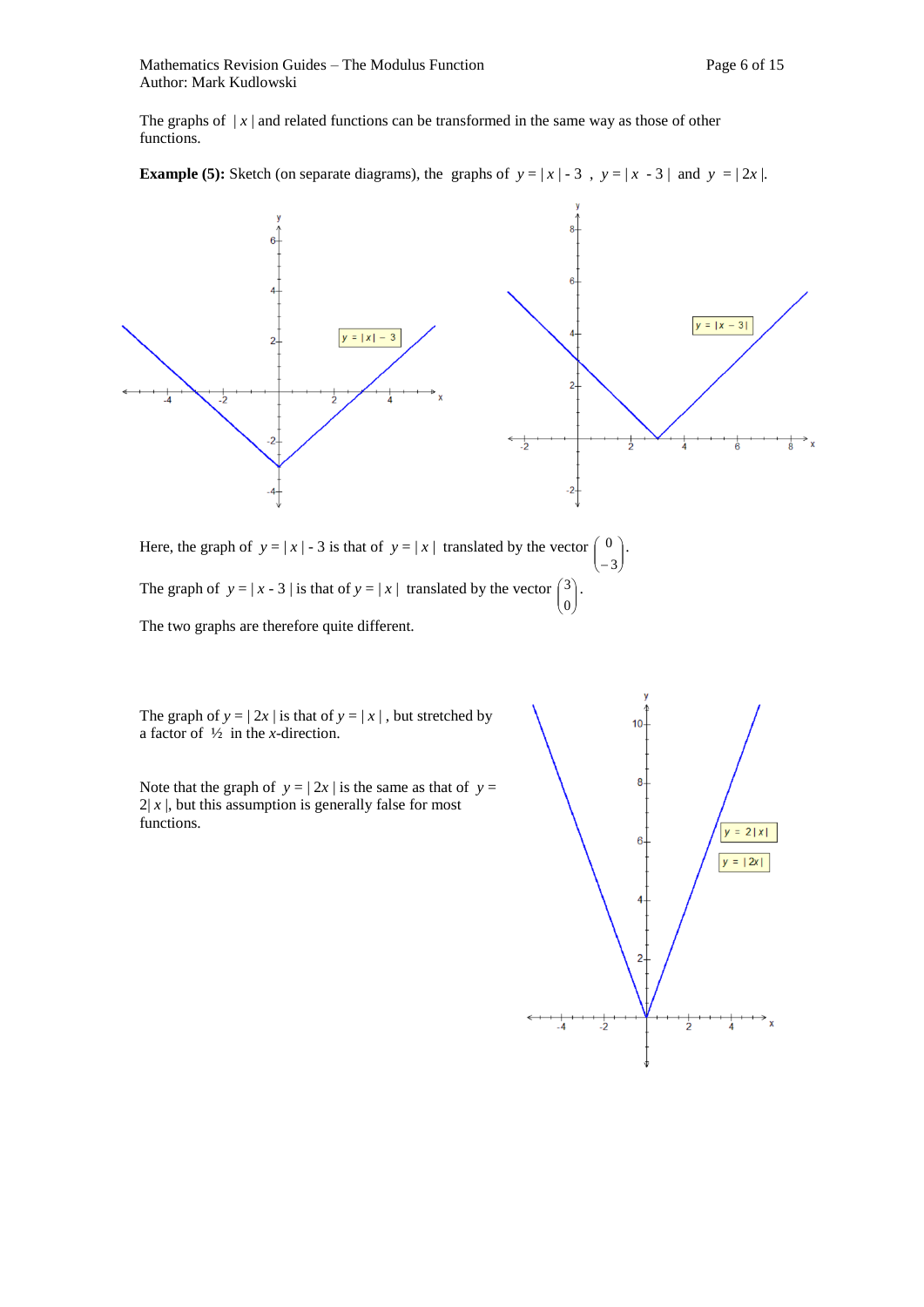The graphs of  $|x|$  and related functions can be transformed in the same way as those of other functions.

**Example (5):** Sketch (on separate diagrams), the graphs of  $y = |x| - 3$ ,  $y = |x - 3|$  and  $y = |2x|$ .



Here, the graph of  $y = |x| - 3$  is that of  $y = |x|$  translated by the vector  $\begin{pmatrix} 0 \\ -3 \end{pmatrix}$ Ј  $\lambda$  $\mathsf{I}$ L ſ 3  $\begin{array}{c} 0 \end{array}$ . The graph of  $y = |x - 3|$  is that of  $y = |x|$  translated by the vector  $\begin{pmatrix} 3 \\ 0 \end{pmatrix}$  $\mathcal{L}_{\mathcal{L}}$  $\overline{\phantom{a}}$ ſ 0  $3$ .

The two graphs are therefore quite different.

The graph of  $y = | 2x |$  is that of  $y = |x |$ , but stretched by a factor of ½ in the *x*-direction.

Note that the graph of  $y = | 2x |$  is the same as that of  $y =$  $2|x|$ , but this assumption is generally false for most functions.



J

L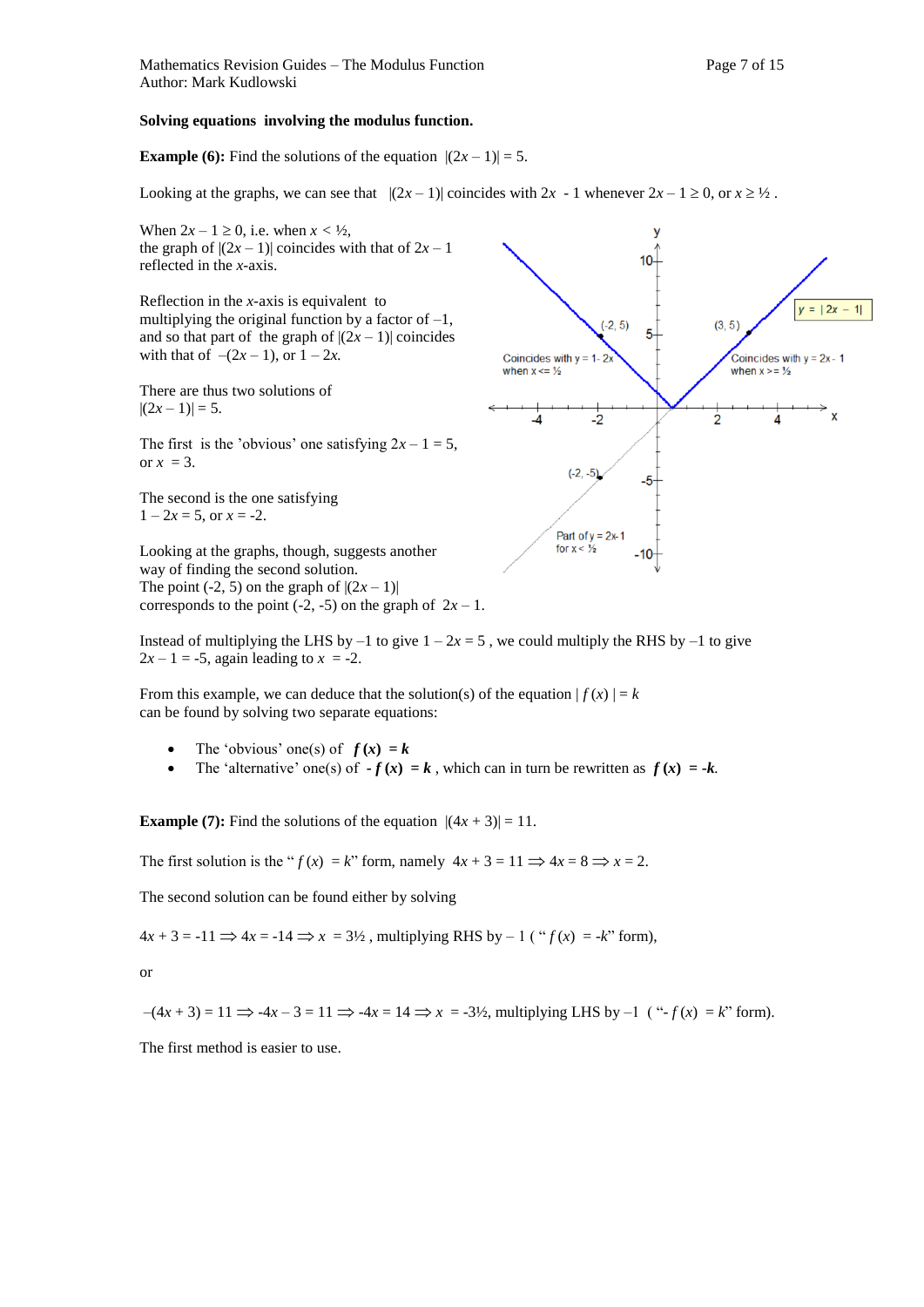#### **Solving equations involving the modulus function.**

#### **Example (6):** Find the solutions of the equation  $|(2x-1)| = 5$ .

Looking at the graphs, we can see that  $|(2x-1)|$  coincides with  $2x - 1$  whenever  $2x - 1 \ge 0$ , or  $x \ge 1/2$ .

When  $2x - 1 \ge 0$ , i.e. when  $x < \frac{1}{2}$ , the graph of  $|(2x-1)|$  coincides with that of  $2x-1$ reflected in the *x-*axis.

Reflection in the *x-*axis is equivalent to multiplying the original function by a factor of  $-1$ , and so that part of the graph of  $|(2x - 1)|$  coincides with that of  $-(2x - 1)$ , or  $1 - 2x$ .

There are thus two solutions of  $|(2x-1)|=5.$ 

The first is the 'obvious' one satisfying  $2x - 1 = 5$ , or  $x = 3$ .

The second is the one satisfying  $1 - 2x = 5$ , or  $x = -2$ .

Looking at the graphs, though, suggests another way of finding the second solution. The point  $(-2, 5)$  on the graph of  $|(2x - 1)|$ corresponds to the point  $(-2, -5)$  on the graph of  $2x - 1$ .

Instead of multiplying the LHS by  $-1$  to give  $1 - 2x = 5$ , we could multiply the RHS by  $-1$  to give  $2x - 1 = -5$ , again leading to  $x = -2$ .

From this example, we can deduce that the solution(s) of the equation  $|f(x)| = k$ can be found by solving two separate equations:

- The 'obvious' one(s) of  $f(x) = k$
- The 'alternative' one(s) of  $-f(x) = k$ , which can in turn be rewritten as  $f(x) = -k$ .

**Example (7):** Find the solutions of the equation  $|(4x + 3)| = 11$ .

The first solution is the " $f(x) = k$ " form, namely  $4x + 3 = 11 \implies 4x = 8 \implies x = 2$ .

The second solution can be found either by solving

 $4x + 3 = -11 \implies 4x = -14 \implies x = 3\frac{1}{2}$ , multiplying RHS by  $-1$  (" $f(x) = -k$ " form),

or

$$
-(4x + 3) = 11 \Rightarrow -4x - 3 = 11 \Rightarrow -4x = 14 \Rightarrow x = -3\frac{1}{2}
$$
, multiplying LHS by  $-1$  ("f(x) = k" form).

The first method is easier to use.

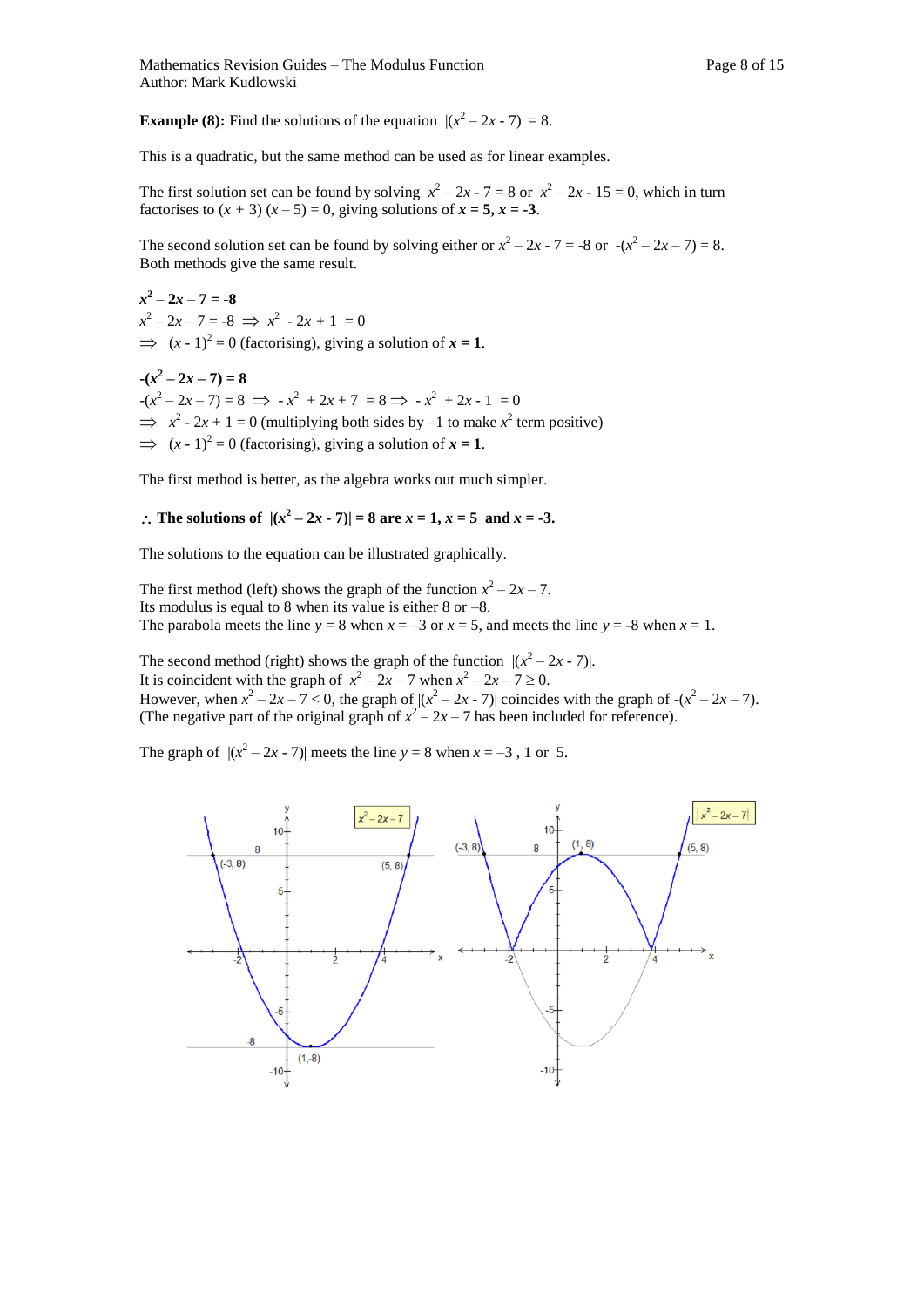**Example (8):** Find the solutions of the equation  $|(x^2 - 2x - 7)| = 8$ .

This is a quadratic, but the same method can be used as for linear examples.

The first solution set can be found by solving  $x^2 - 2x - 7 = 8$  or  $x^2 - 2x - 15 = 0$ , which in turn factorises to  $(x + 3)(x - 5) = 0$ , giving solutions of  $x = 5$ ,  $x = -3$ .

The second solution set can be found by solving either or  $x^2 - 2x - 7 = -8$  or  $-(x^2 - 2x - 7) = 8$ . Both methods give the same result.

 $x^2 - 2x - 7 = -8$  $x^2 - 2x - 7 = -8 \implies x^2 - 2x + 1 = 0$  $\implies$   $(x - 1)^2 = 0$  (factorising), giving a solution of  $x = 1$ .

 $-(x^2-2x-7)=8$  $-(x^2 - 2x - 7) = 8 \implies -x^2 + 2x + 7 = 8 \implies -x^2 + 2x - 1 = 0$  $\implies x^2 - 2x + 1 = 0$  (multiplying both sides by –1 to make  $x^2$  term positive)  $\implies$   $(x - 1)^2 = 0$  (factorising), giving a solution of  $x = 1$ .

The first method is better, as the algebra works out much simpler.

## ∴ The solutions of  $|(x^2 - 2x - 7)| = 8$  are  $x = 1, x = 5$  and  $x = -3$ .

The solutions to the equation can be illustrated graphically.

The first method (left) shows the graph of the function  $x^2 - 2x - 7$ . Its modulus is equal to 8 when its value is either 8 or –8. The parabola meets the line  $y = 8$  when  $x = -3$  or  $x = 5$ , and meets the line  $y = -8$  when  $x = 1$ .

The second method (right) shows the graph of the function  $|(x^2 - 2x - 7)|$ .

It is coincident with the graph of  $x^2 - 2x - 7$  when  $x^2 - 2x - 7 \ge 0$ .

However, when  $x^2 - 2x - 7 < 0$ , the graph of  $|(x^2 - 2x - 7)|$  coincides with the graph of  $-(x^2 - 2x - 7)$ . (The negative part of the original graph of  $x^2 - 2x - 7$  has been included for reference).

The graph of  $|(x^2 - 2x - 7)|$  meets the line  $y = 8$  when  $x = -3$ , 1 or 5.

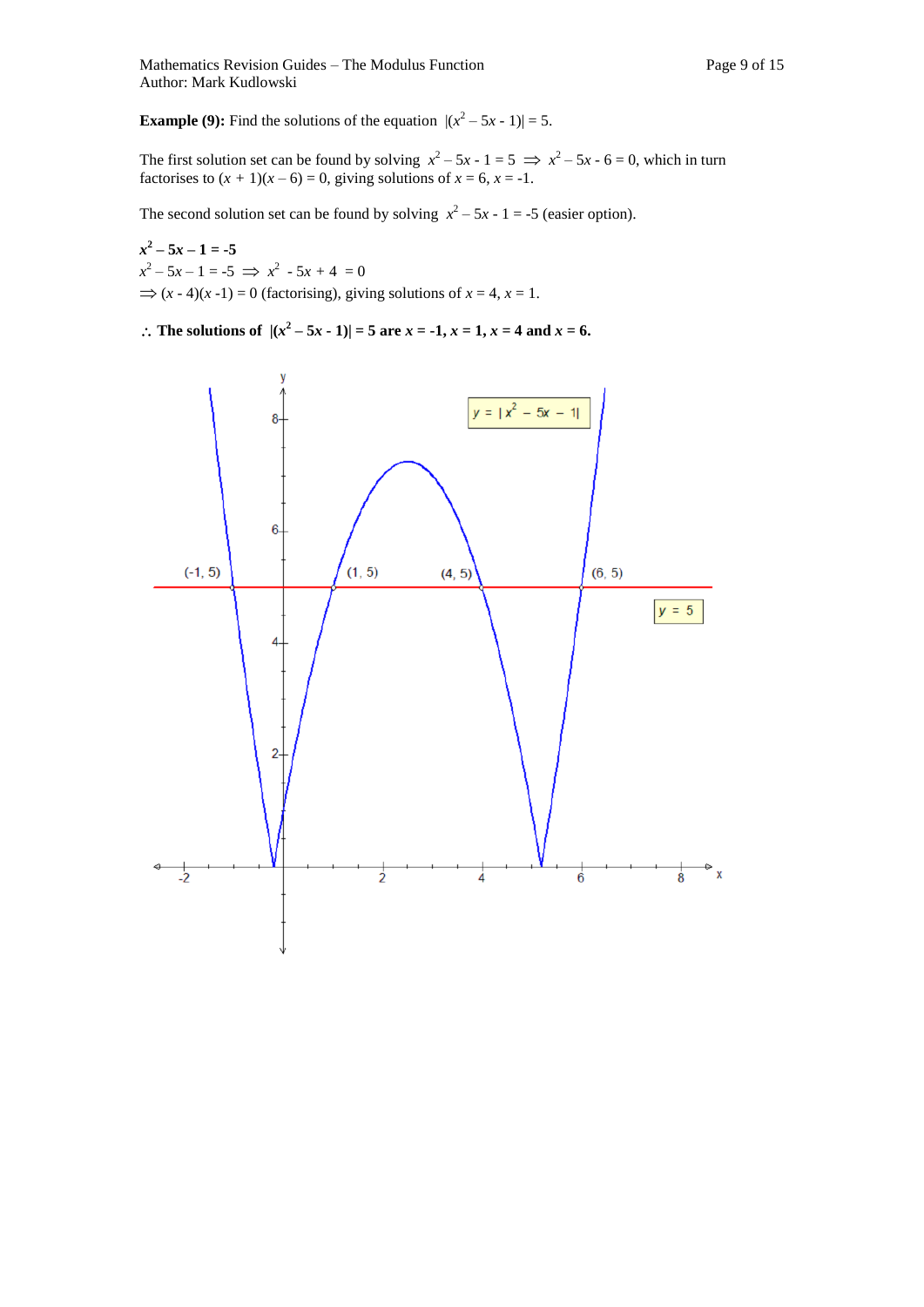**Example (9):** Find the solutions of the equation  $|(x^2 - 5x - 1)| = 5$ .

The first solution set can be found by solving  $x^2 - 5x - 1 = 5 \implies x^2 - 5x - 6 = 0$ , which in turn factorises to  $(x + 1)(x - 6) = 0$ , giving solutions of  $x = 6$ ,  $x = -1$ .

The second solution set can be found by solving  $x^2 - 5x - 1 = -5$  (easier option).

 $x^2 - 5x - 1 = -5$  $x^2 - 5x - 1 = -5 \implies x^2 - 5x + 4 = 0$  $\Rightarrow$   $(x - 4)(x - 1) = 0$  (factorising), giving solutions of  $x = 4$ ,  $x = 1$ .

∴ The solutions of  $|(x^2 - 5x - 1)| = 5$  are  $x = -1$ ,  $x = 1$ ,  $x = 4$  and  $x = 6$ .

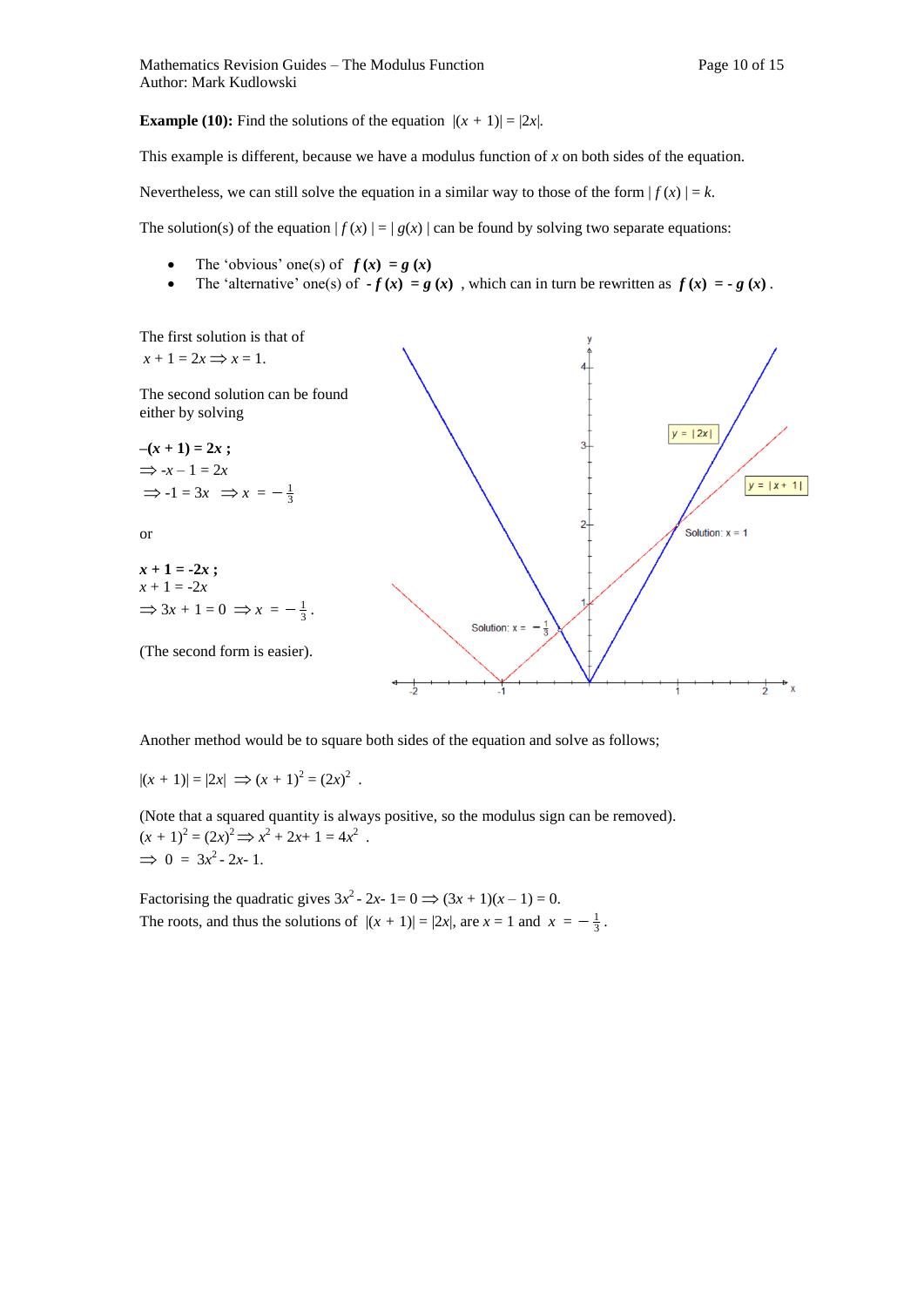**Example (10):** Find the solutions of the equation  $|(x + 1)| = |2x|$ .

This example is different, because we have a modulus function of *x* on both sides of the equation.

Nevertheless, we can still solve the equation in a similar way to those of the form  $| f(x) | = k$ .

The solution(s) of the equation  $|f(x)| = |g(x)|$  can be found by solving two separate equations:

- The 'obvious' one(s) of  $f(x) = g(x)$
- The 'alternative' one(s) of  $-f(x) = g(x)$ , which can in turn be rewritten as  $f(x) = -g(x)$ .



Another method would be to square both sides of the equation and solve as follows;

 $|(x + 1)| = |2x| \implies (x + 1)^2 = (2x)^2$ .

(Note that a squared quantity is always positive, so the modulus sign can be removed).  $(x + 1)^2 = (2x)^2 \implies x^2 + 2x + 1 = 4x^2$ .  $\implies 0 = 3x^2 - 2x - 1.$ 

Factorising the quadratic gives  $3x^2 - 2x - 1 = 0 \implies (3x + 1)(x - 1) = 0$ . The roots, and thus the solutions of  $|(x + 1)| = |2x|$ , are  $x = 1$  and  $x = -\frac{1}{3}$ .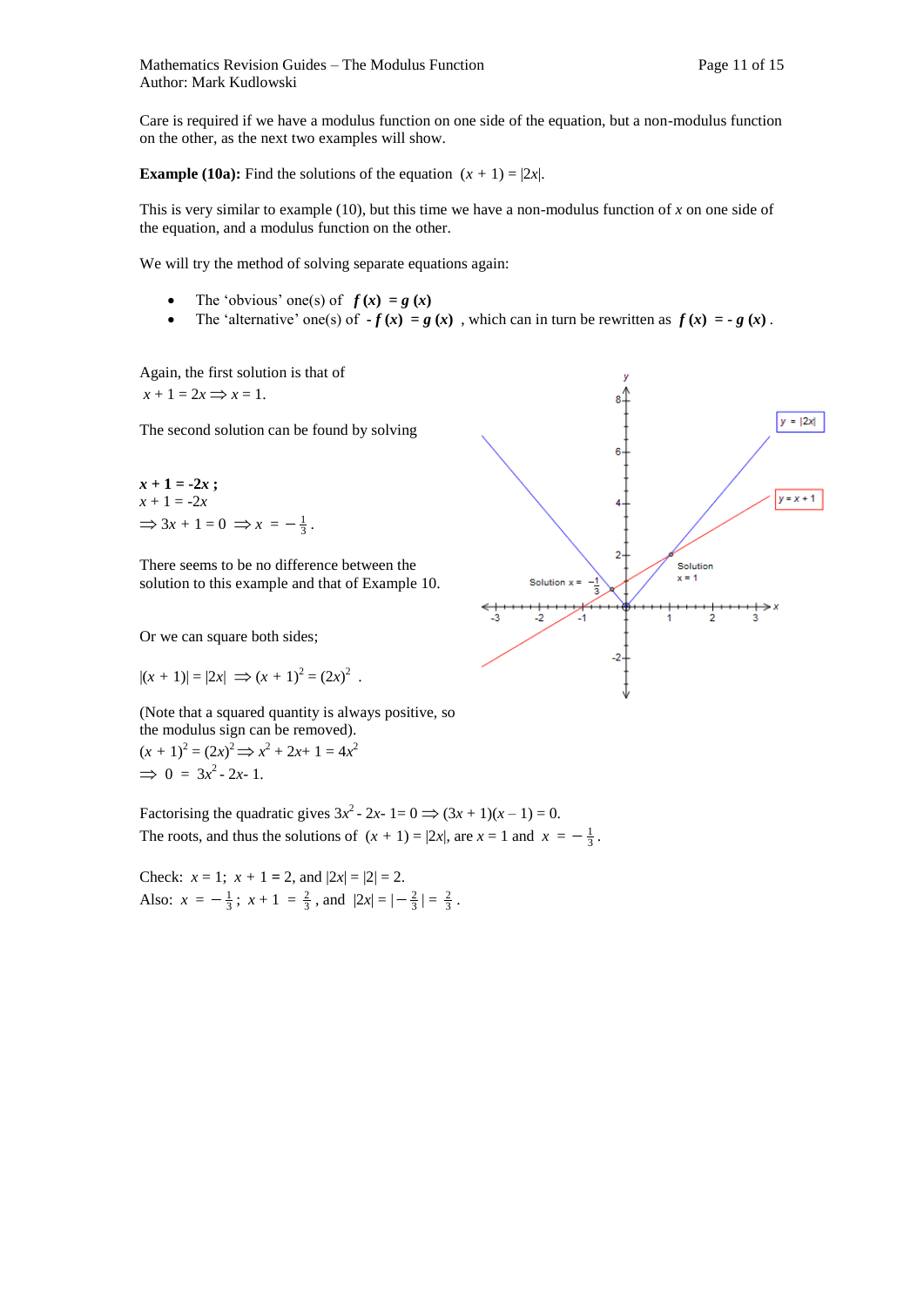Care is required if we have a modulus function on one side of the equation, but a non-modulus function on the other, as the next two examples will show.

**Example (10a):** Find the solutions of the equation  $(x + 1) = |2x|$ .

This is very similar to example (10), but this time we have a non-modulus function of *x* on one side of the equation, and a modulus function on the other.

We will try the method of solving separate equations again:

- The 'obvious' one(s) of  $f(x) = g(x)$
- The 'alternative' one(s) of  $-f(x) = g(x)$ , which can in turn be rewritten as  $f(x) = -g(x)$ .

Again, the first solution is that of  $x + 1 = 2x \implies x = 1.$ 

The second solution can be found by solving

 $x + 1 = -2x$ ;  $x + 1 = -2x$  $\Rightarrow$  3x + 1 = 0  $\Rightarrow$  x =  $-\frac{1}{3}$ .

There seems to be no difference between the solution to this example and that of Example 10.

Or we can square both sides;

$$
|(x + 1)| = |2x| \implies (x + 1)^2 = (2x)^2
$$
.

(Note that a squared quantity is always positive, so the modulus sign can be removed).  $(x + 1)^2 = (2x)^2 \implies x^2 + 2x + 1 = 4x^2$  $\implies 0 = 3x^2 - 2x - 1.$ 

Factorising the quadratic gives  $3x^2 - 2x - 1 = 0 \implies (3x + 1)(x - 1) = 0$ . The roots, and thus the solutions of  $(x + 1) = |2x|$ , are  $x = 1$  and  $x = -\frac{1}{3}$ .

Check:  $x = 1$ ;  $x + 1 = 2$ , and  $|2x| = |2| = 2$ . Also:  $x = -\frac{1}{3}$ ;  $x + 1 = \frac{2}{3}$ , and  $|2x| = |-\frac{2}{3}| = \frac{2}{3}$ .

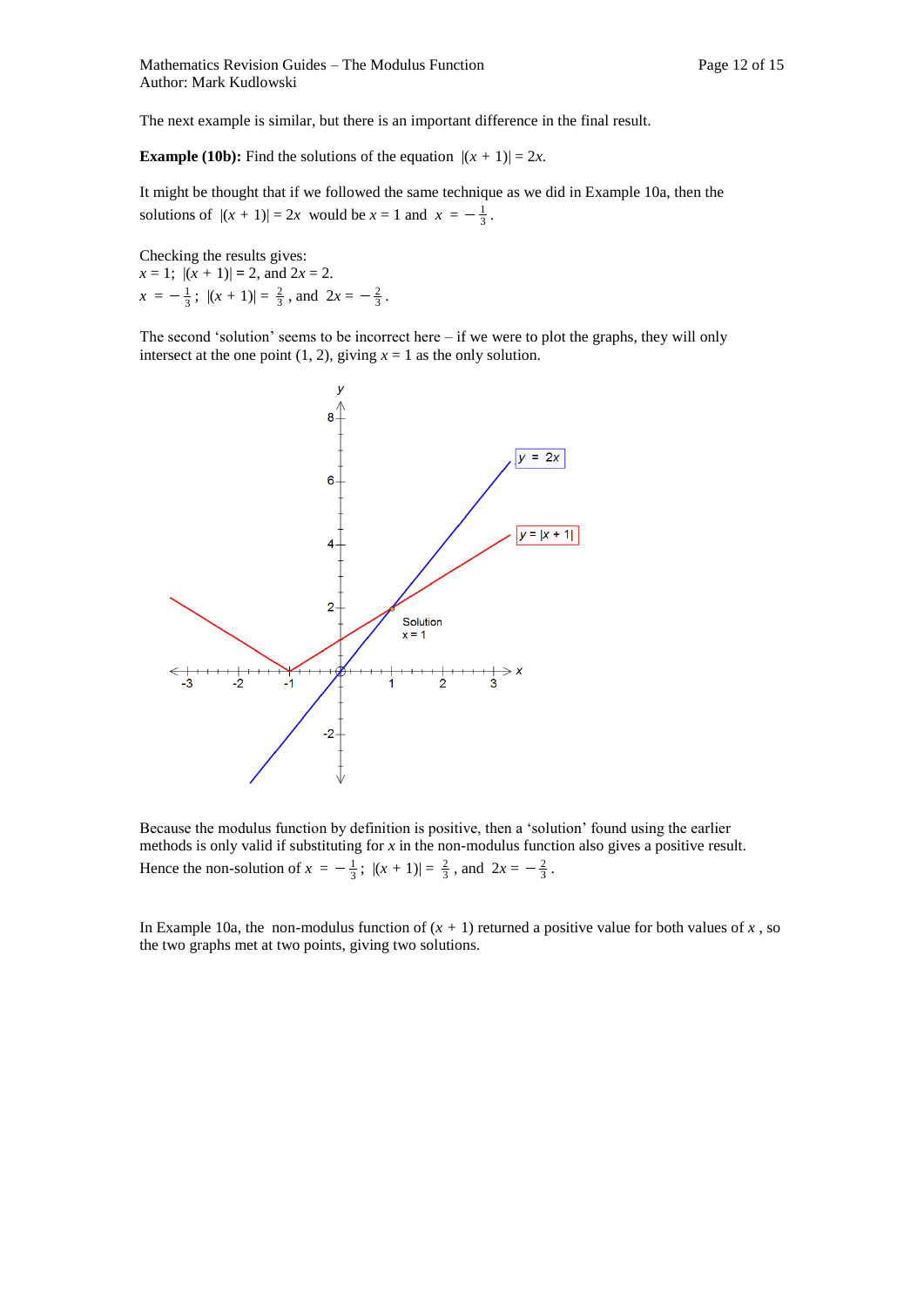The next example is similar, but there is an important difference in the final result.

**Example (10b):** Find the solutions of the equation  $|(x + 1)| = 2x$ .

It might be thought that if we followed the same technique as we did in Example 10a, then the solutions of  $|(x + 1)| = 2x$  would be  $x = 1$  and  $x = -\frac{1}{3}$ .

Checking the results gives:  $x = 1$ ;  $|(x + 1)| = 2$ , and  $2x = 2$ .  $x = -\frac{1}{3}$ ;  $|(x + 1)| = \frac{2}{3}$ , and  $2x = -\frac{2}{3}$ .

The second 'solution' seems to be incorrect here – if we were to plot the graphs, they will only intersect at the one point  $(1, 2)$ , giving  $x = 1$  as the only solution.



Because the modulus function by definition is positive, then a 'solution' found using the earlier methods is only valid if substituting for *x* in the non-modulus function also gives a positive result. Hence the non-solution of  $x = -\frac{1}{3}$ ;  $|(x + 1)| = \frac{2}{3}$ , and  $2x = -\frac{2}{3}$ .

In Example 10a, the non-modulus function of  $(x + 1)$  returned a positive value for both values of x, so the two graphs met at two points, giving two solutions.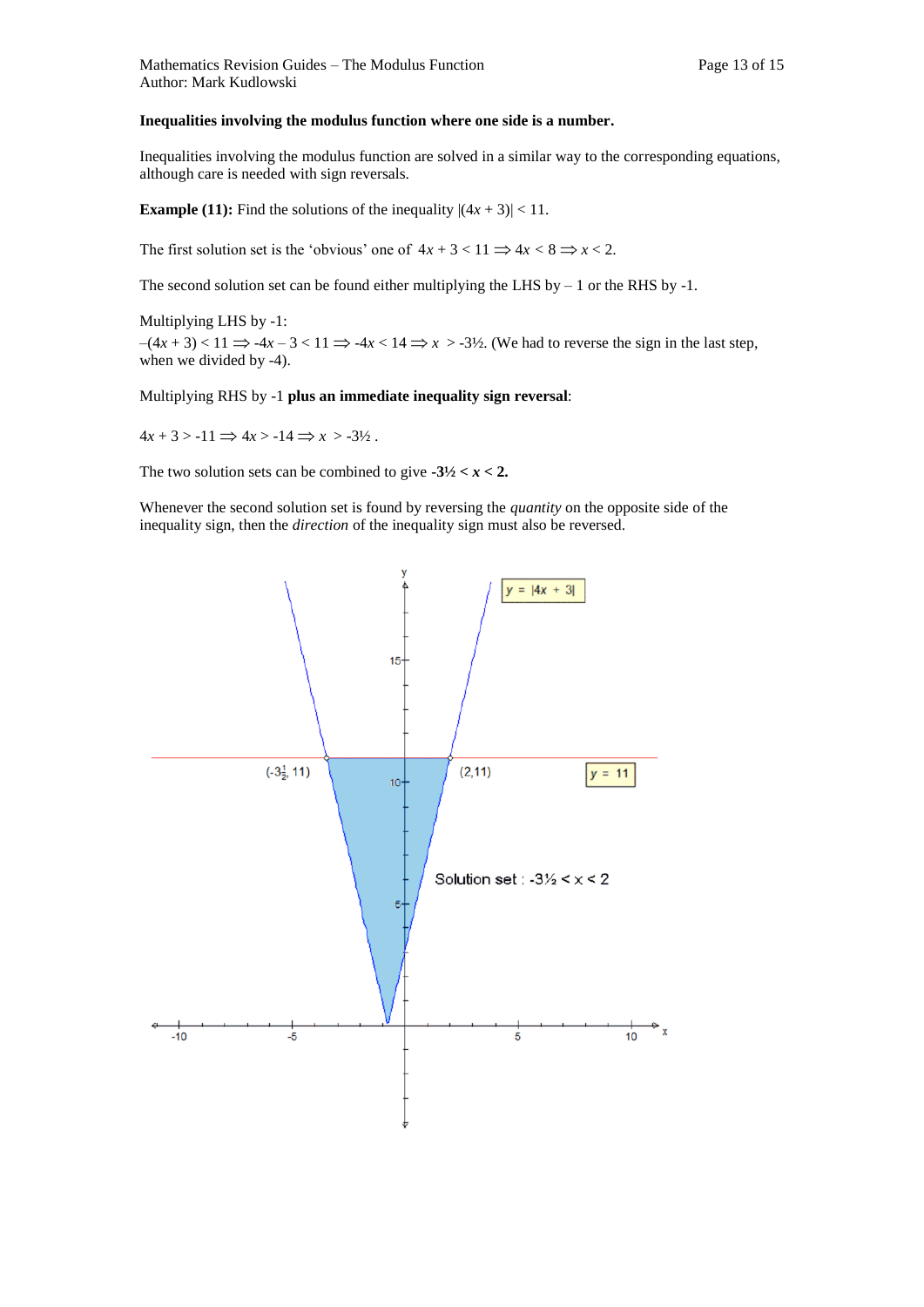#### **Inequalities involving the modulus function where one side is a number.**

Inequalities involving the modulus function are solved in a similar way to the corresponding equations, although care is needed with sign reversals.

**Example (11):** Find the solutions of the inequality  $|(4x + 3)| < 11$ .

The first solution set is the 'obvious' one of  $4x + 3 < 11 \implies 4x < 8 \implies x < 2$ .

The second solution set can be found either multiplying the LHS by  $-1$  or the RHS by  $-1$ .

Multiplying LHS by -1:  $-(4x+3) < 11 \implies -4x - 3 < 11 \implies -4x < 14 \implies x > -3\frac{1}{2}$ . (We had to reverse the sign in the last step, when we divided by -4).

#### Multiplying RHS by -1 **plus an immediate inequality sign reversal**:

 $4x + 3 > -11 \implies 4x > -14 \implies x > -3\frac{1}{2}$ .

The two solution sets can be combined to give  $-3\frac{1}{2} < x < 2$ .

Whenever the second solution set is found by reversing the *quantity* on the opposite side of the inequality sign, then the *direction* of the inequality sign must also be reversed.

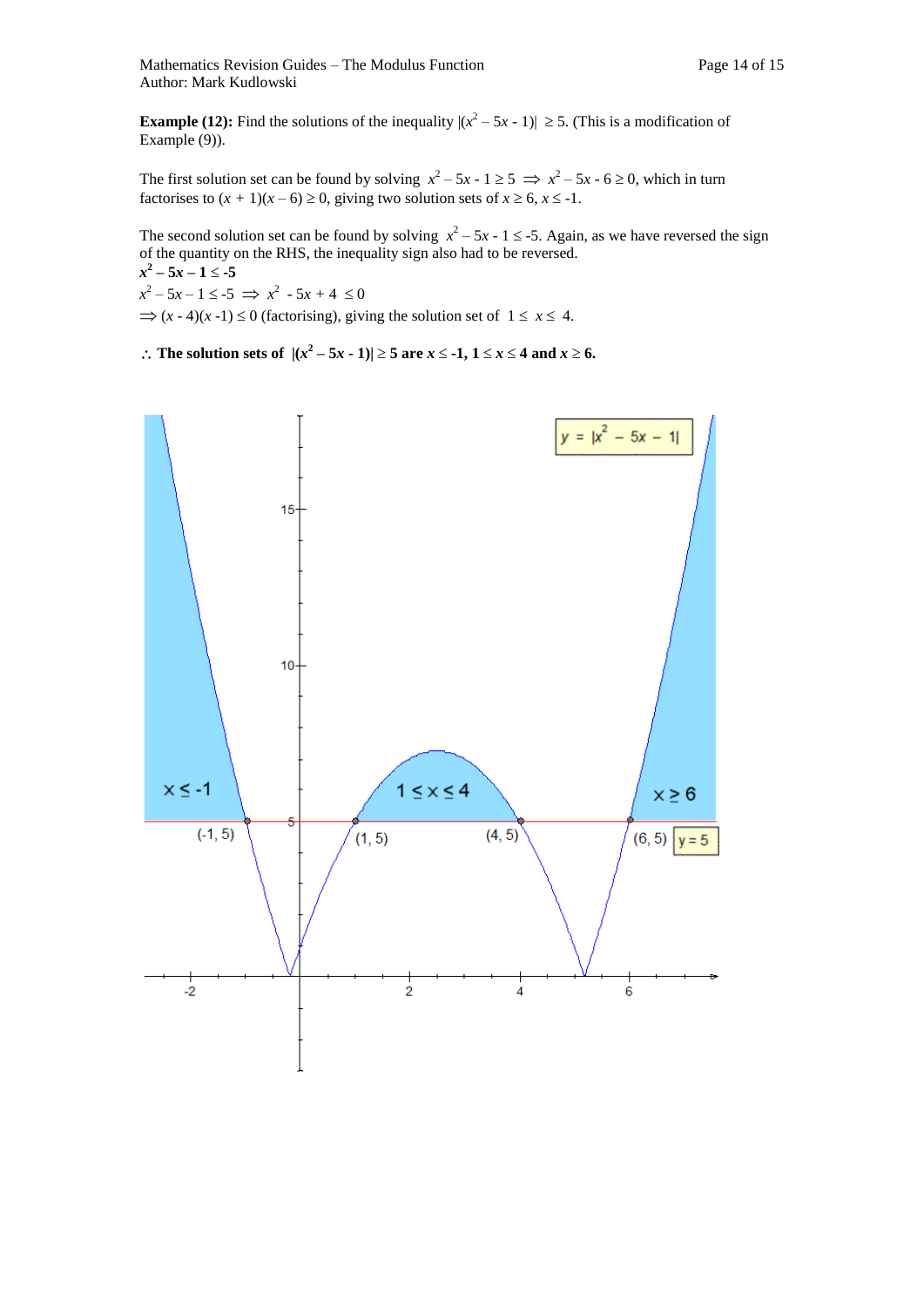**Example (12):** Find the solutions of the inequality  $|(x^2 - 5x - 1)| \ge 5$ . (This is a modification of Example (9)).

The first solution set can be found by solving  $x^2 - 5x - 1 \ge 5 \implies x^2 - 5x - 6 \ge 0$ , which in turn factorises to  $(x + 1)(x - 6) \ge 0$ , giving two solution sets of  $x \ge 6$ ,  $x \le -1$ .

The second solution set can be found by solving  $x^2 - 5x - 1 \le -5$ . Again, as we have reversed the sign of the quantity on the RHS, the inequality sign also had to be reversed.

$$
x2-5x-1 \le -5
$$
  

$$
x2-5x-1 \le -5 \implies x2 - 5x + 4 \le 0
$$

 $\Rightarrow$   $(x - 4)(x - 1) \le 0$  (factorising), giving the solution set of  $1 \le x \le 4$ .

∴ The solution sets of  $|(x^2 - 5x - 1)| \ge 5$  are  $x \le -1$ ,  $1 \le x \le 4$  and  $x \ge 6$ .